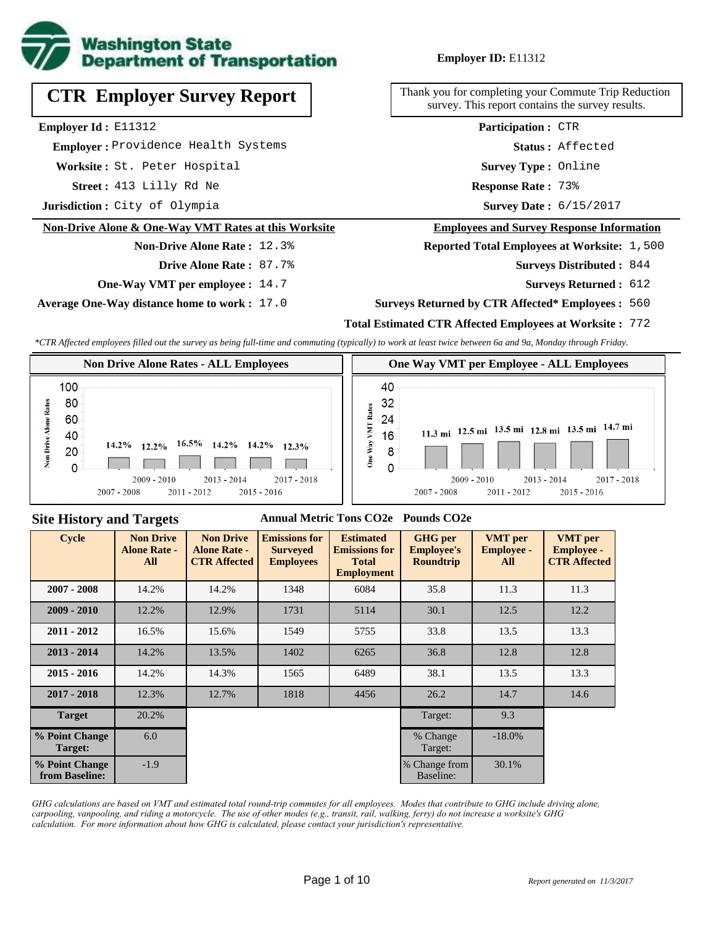

## **Employer ID:** E11312

**CTR Employer Survey Report**

**Employer Id :** E11312

 **Employer :** Providence Health Systems

**Worksite :** St. Peter Hospital

**Street :** 413 Lilly Rd Ne **Response Rate :** 

**Jurisdiction :** City of Olympia

#### **Non-Drive Alone & One-Way VMT Rates at this Worksite**

#### **Non-Drive Alone Rate :** 12.3%

**Drive Alone Rate :** 87.7%

**One-Way VMT per employee :** 14.7

**Average One-Way distance home to work :** 17.0

Thank you for completing your Commute Trip Reduction survey. This report contains the survey results.

> **Survey Type :** Online **Status :** Affected **Participation :** CTR

Response Rate: 73%

Survey Date: 6/15/2017

#### **Employees and Survey Response Information**

**Reported Total Employees at Worksite: 1,500** 

844 **Surveys Distributed :**

**Surveys Returned :** 612

#### **Surveys Returned by CTR Affected\* Employees :** 560

## **Total Estimated CTR Affected Employees at Worksite :** 772

*\*CTR Affected employees filled out the survey as being full-time and commuting (typically) to work at least twice between 6a and 9a, Monday through Friday.*



## **Site History and Targets**

#### **Annual Metric Tons CO2e Pounds CO2e**

| <b>Cycle</b>                     | <b>Non Drive</b><br><b>Alone Rate -</b><br>All | <b>Non Drive</b><br><b>Alone Rate -</b><br><b>CTR Affected</b> | <b>Emissions for</b><br><b>Surveyed</b><br><b>Employees</b> | <b>Estimated</b><br><b>Emissions for</b><br><b>Total</b><br><b>Employment</b> | <b>GHG</b> per<br><b>Employee's</b><br><b>Roundtrip</b> | <b>VMT</b> per<br><b>Employee -</b><br>All | <b>VMT</b> per<br><b>Employee -</b><br><b>CTR Affected</b> |
|----------------------------------|------------------------------------------------|----------------------------------------------------------------|-------------------------------------------------------------|-------------------------------------------------------------------------------|---------------------------------------------------------|--------------------------------------------|------------------------------------------------------------|
| $2007 - 2008$                    | 14.2%                                          | 14.2%                                                          | 1348                                                        | 6084                                                                          | 35.8                                                    | 11.3                                       | 11.3                                                       |
| $2009 - 2010$                    | 12.2%                                          | 12.9%                                                          | 1731                                                        | 5114                                                                          | 30.1                                                    | 12.5                                       | 12.2                                                       |
| $2011 - 2012$                    | 16.5%                                          | 15.6%                                                          | 1549                                                        | 5755                                                                          | 33.8                                                    | 13.5                                       | 13.3                                                       |
| $2013 - 2014$                    | 14.2%                                          | 13.5%                                                          | 1402                                                        | 6265                                                                          | 36.8                                                    | 12.8                                       | 12.8                                                       |
| $2015 - 2016$                    | 14.2%                                          | 14.3%                                                          | 1565                                                        | 6489                                                                          | 38.1                                                    | 13.5                                       | 13.3                                                       |
| $2017 - 2018$                    | 12.3%                                          | 12.7%                                                          | 1818                                                        | 4456                                                                          | 26.2                                                    | 14.7                                       | 14.6                                                       |
| <b>Target</b>                    | 20.2%                                          |                                                                |                                                             |                                                                               | Target:                                                 | 9.3                                        |                                                            |
| % Point Change<br>Target:        | 6.0                                            |                                                                |                                                             |                                                                               | % Change<br>Target:                                     | $-18.0\%$                                  |                                                            |
| % Point Change<br>from Baseline: | $-1.9$                                         |                                                                |                                                             |                                                                               | % Change from<br>Baseline:                              | 30.1%                                      |                                                            |

*GHG calculations are based on VMT and estimated total round-trip commutes for all employees. Modes that contribute to GHG include driving alone, carpooling, vanpooling, and riding a motorcycle. The use of other modes (e.g., transit, rail, walking, ferry) do not increase a worksite's GHG calculation. For more information about how GHG is calculated, please contact your jurisdiction's representative.*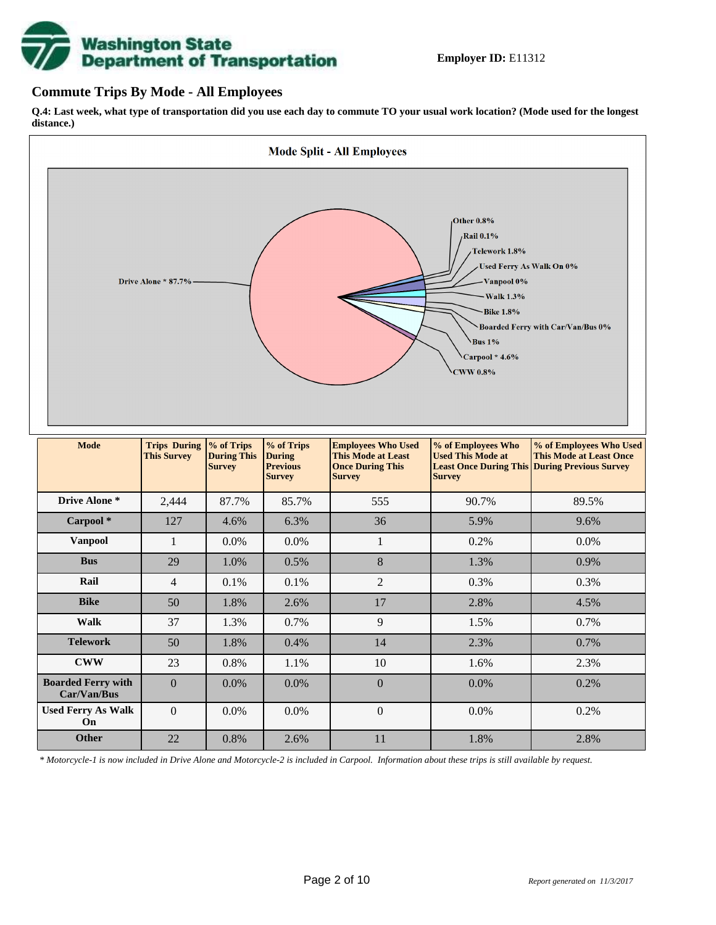# **Washington State<br>Department of Transportation**

## **Commute Trips By Mode - All Employees**

**Q.4: Last week, what type of transportation did you use each day to commute TO your usual work location? (Mode used for the longest distance.)**



*\* Motorcycle-1 is now included in Drive Alone and Motorcycle-2 is included in Carpool. Information about these trips is still available by request.*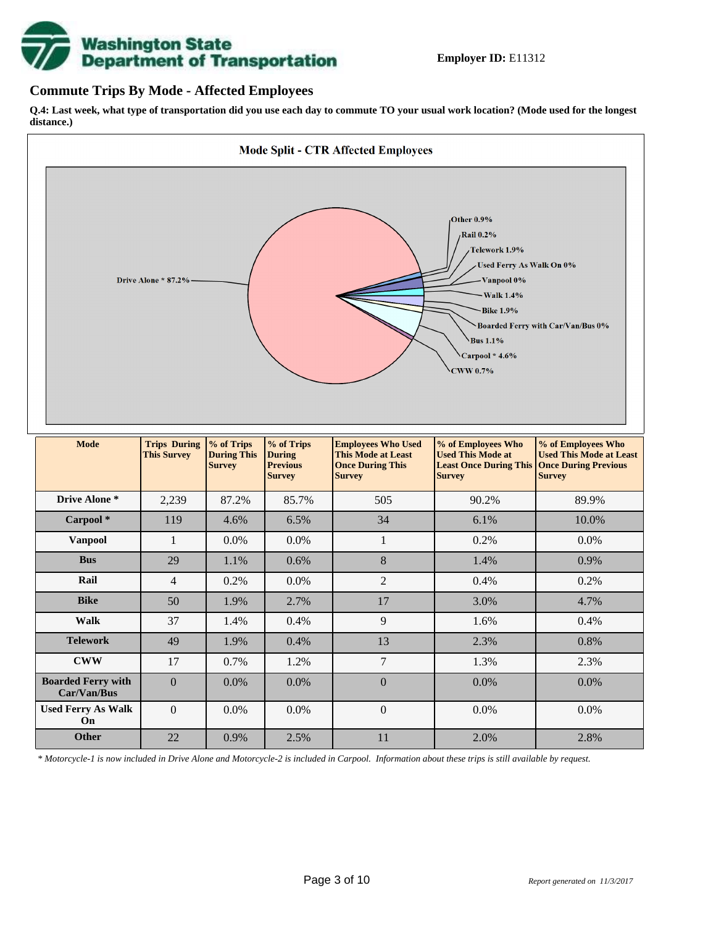

## **Commute Trips By Mode - Affected Employees**

**Q.4: Last week, what type of transportation did you use each day to commute TO your usual work location? (Mode used for the longest distance.)**



*\* Motorcycle-1 is now included in Drive Alone and Motorcycle-2 is included in Carpool. Information about these trips is still available by request.*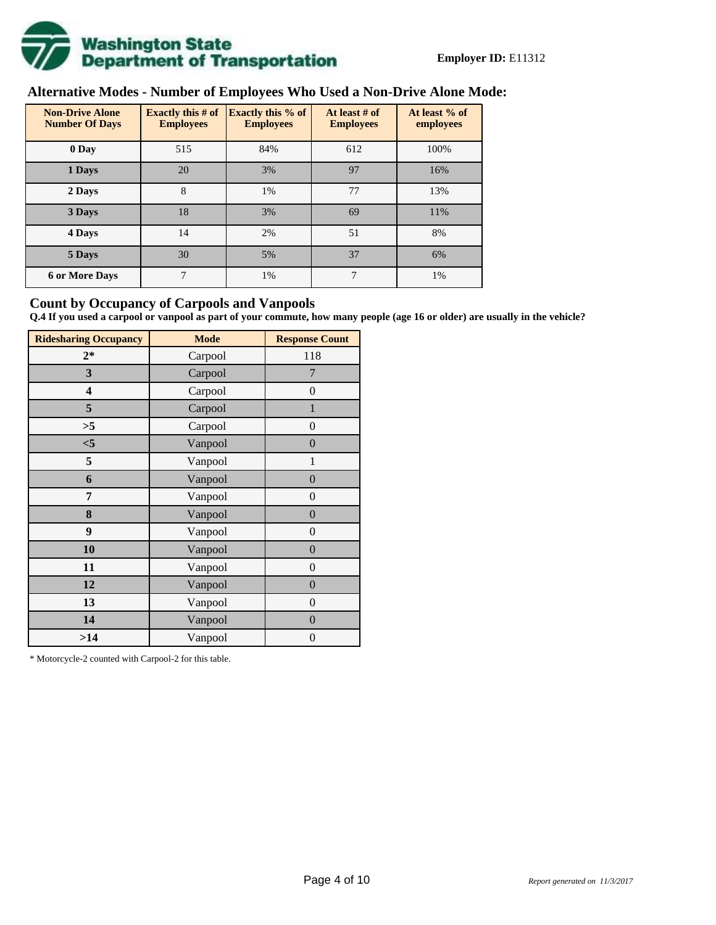

# **Alternative Modes - Number of Employees Who Used a Non-Drive Alone Mode:**

| <b>Non-Drive Alone</b><br><b>Number Of Days</b> | Exactly this $#$ of<br><b>Employees</b> | <b>Exactly this % of</b><br><b>Employees</b> | At least # of<br><b>Employees</b> | At least % of<br>employees |
|-------------------------------------------------|-----------------------------------------|----------------------------------------------|-----------------------------------|----------------------------|
| 0 Day                                           | 515                                     | 84%                                          | 612                               | 100%                       |
| 1 Days                                          | 20                                      | 3%                                           | 97                                | 16%                        |
| 2 Days                                          | 8                                       | 1%                                           | 77                                | 13%                        |
| 3 Days                                          | 18                                      | 3%                                           | 69                                | 11%                        |
| 4 Days                                          | 14                                      | 2%                                           | 51                                | 8%                         |
| 5 Days                                          | 30                                      | 5%                                           | 37                                | 6%                         |
| <b>6 or More Days</b>                           | 7                                       | 1%                                           | 7                                 | 1%                         |

## **Count by Occupancy of Carpools and Vanpools**

**Q.4 If you used a carpool or vanpool as part of your commute, how many people (age 16 or older) are usually in the vehicle?**

| <b>Ridesharing Occupancy</b> | <b>Mode</b> | <b>Response Count</b> |
|------------------------------|-------------|-----------------------|
| $2*$                         | Carpool     | 118                   |
| 3                            | Carpool     | 7                     |
| 4                            | Carpool     | $\boldsymbol{0}$      |
| 5                            | Carpool     | $\mathbf{1}$          |
| >5                           | Carpool     | $\overline{0}$        |
| $<$ 5                        | Vanpool     | $\overline{0}$        |
| 5                            | Vanpool     | $\mathbf{1}$          |
| 6                            | Vanpool     | $\boldsymbol{0}$      |
| 7                            | Vanpool     | $\boldsymbol{0}$      |
| 8                            | Vanpool     | $\overline{0}$        |
| 9                            | Vanpool     | $\overline{0}$        |
| 10                           | Vanpool     | $\overline{0}$        |
| 11                           | Vanpool     | $\boldsymbol{0}$      |
| 12                           | Vanpool     | $\boldsymbol{0}$      |
| 13                           | Vanpool     | $\boldsymbol{0}$      |
| 14                           | Vanpool     | $\overline{0}$        |
| >14                          | Vanpool     | $\boldsymbol{0}$      |

\* Motorcycle-2 counted with Carpool-2 for this table.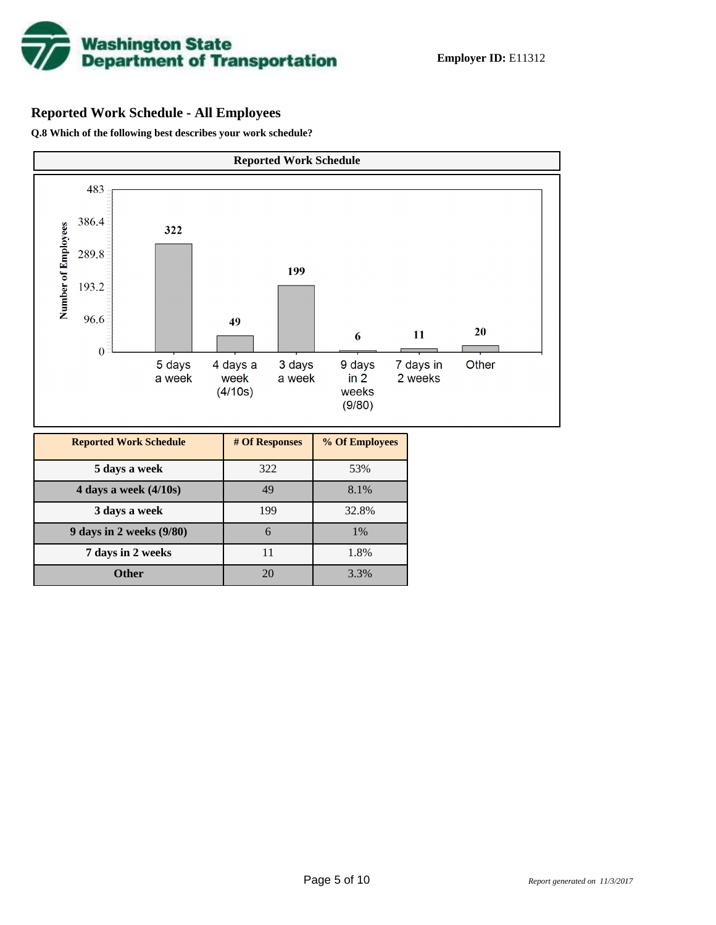

# **Reported Work Schedule - All Employees**

**Q.8 Which of the following best describes your work schedule?**

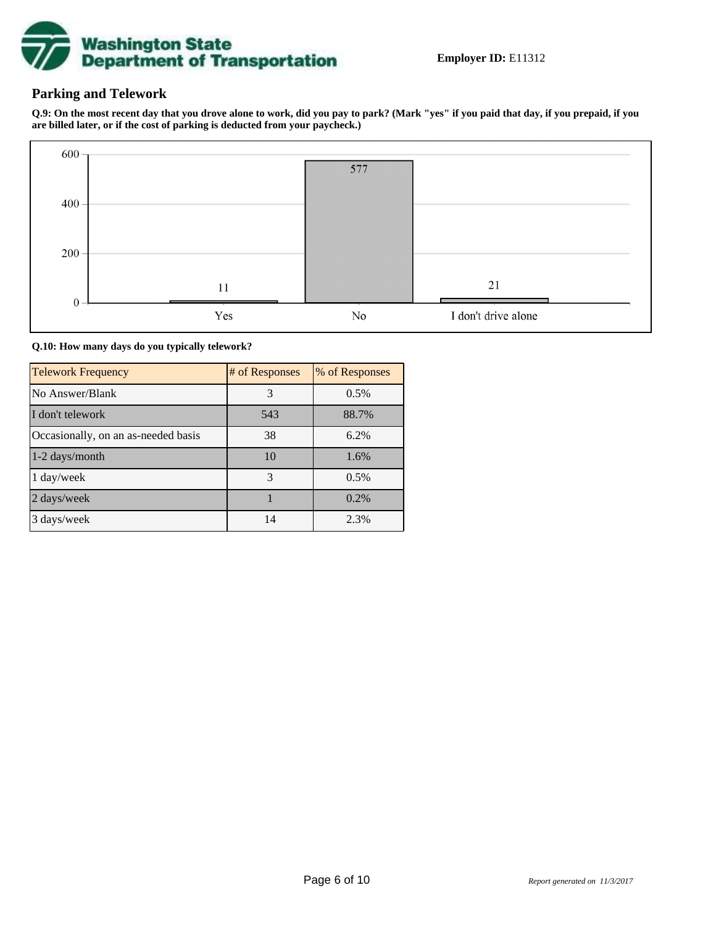

# **Parking and Telework**

**Q.9: On the most recent day that you drove alone to work, did you pay to park? (Mark "yes" if you paid that day, if you prepaid, if you are billed later, or if the cost of parking is deducted from your paycheck.)**



**Q.10: How many days do you typically telework?**

| <b>Telework Frequency</b>           | # of Responses | % of Responses |
|-------------------------------------|----------------|----------------|
| No Answer/Blank                     | 3              | 0.5%           |
| I don't telework                    | 543            | 88.7%          |
| Occasionally, on an as-needed basis | 38             | 6.2%           |
| 1-2 days/month                      | 10             | 1.6%           |
| 1 day/week                          | 3              | 0.5%           |
| 2 days/week                         |                | $0.2\%$        |
| 3 days/week                         | 14             | 2.3%           |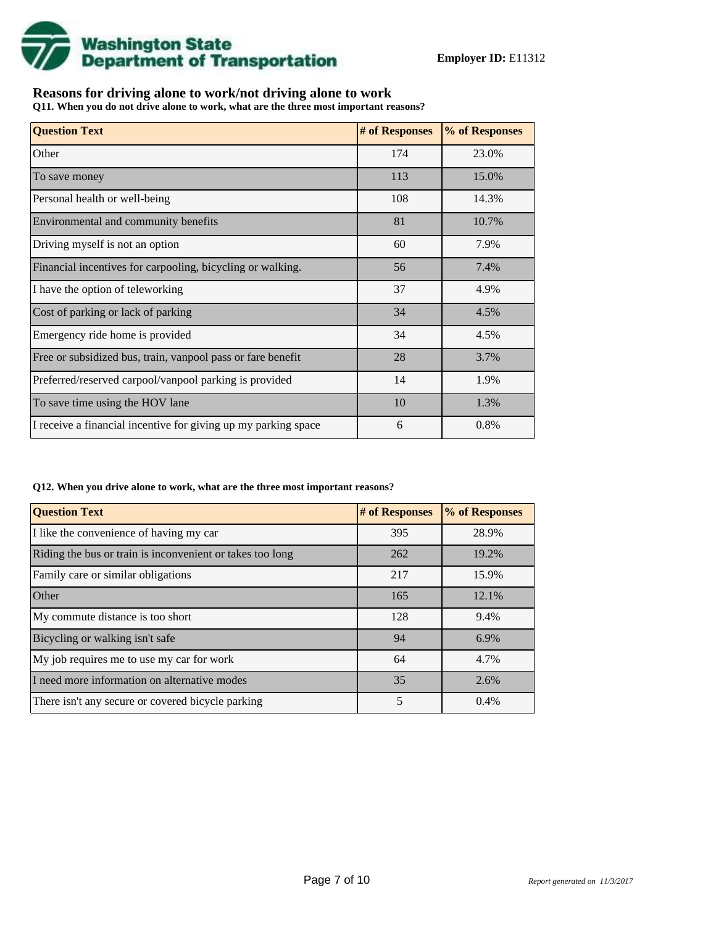

# **Reasons for driving alone to work/not driving alone to work**

**Q11. When you do not drive alone to work, what are the three most important reasons?**

| <b>Question Text</b>                                           | # of Responses | % of Responses |
|----------------------------------------------------------------|----------------|----------------|
| Other                                                          | 174            | 23.0%          |
| To save money                                                  | 113            | 15.0%          |
| Personal health or well-being                                  | 108            | 14.3%          |
| Environmental and community benefits                           | 81             | 10.7%          |
| Driving myself is not an option                                | 60             | 7.9%           |
| Financial incentives for carpooling, bicycling or walking.     | 56             | 7.4%           |
| I have the option of teleworking                               | 37             | 4.9%           |
| Cost of parking or lack of parking                             | 34             | 4.5%           |
| Emergency ride home is provided                                | 34             | 4.5%           |
| Free or subsidized bus, train, vanpool pass or fare benefit    | 28             | 3.7%           |
| Preferred/reserved carpool/vanpool parking is provided         | 14             | 1.9%           |
| To save time using the HOV lane                                | 10             | 1.3%           |
| I receive a financial incentive for giving up my parking space | 6              | 0.8%           |

#### **Q12. When you drive alone to work, what are the three most important reasons?**

| <b>Question Text</b>                                      | # of Responses | % of Responses |
|-----------------------------------------------------------|----------------|----------------|
| I like the convenience of having my car                   | 395            | 28.9%          |
| Riding the bus or train is inconvenient or takes too long | 262            | 19.2%          |
| Family care or similar obligations                        | 217            | 15.9%          |
| Other                                                     | 165            | 12.1%          |
| My commute distance is too short                          | 128            | 9.4%           |
| Bicycling or walking isn't safe                           | 94             | 6.9%           |
| My job requires me to use my car for work                 | 64             | 4.7%           |
| I need more information on alternative modes              | 35             | 2.6%           |
| There isn't any secure or covered bicycle parking         | 5              | 0.4%           |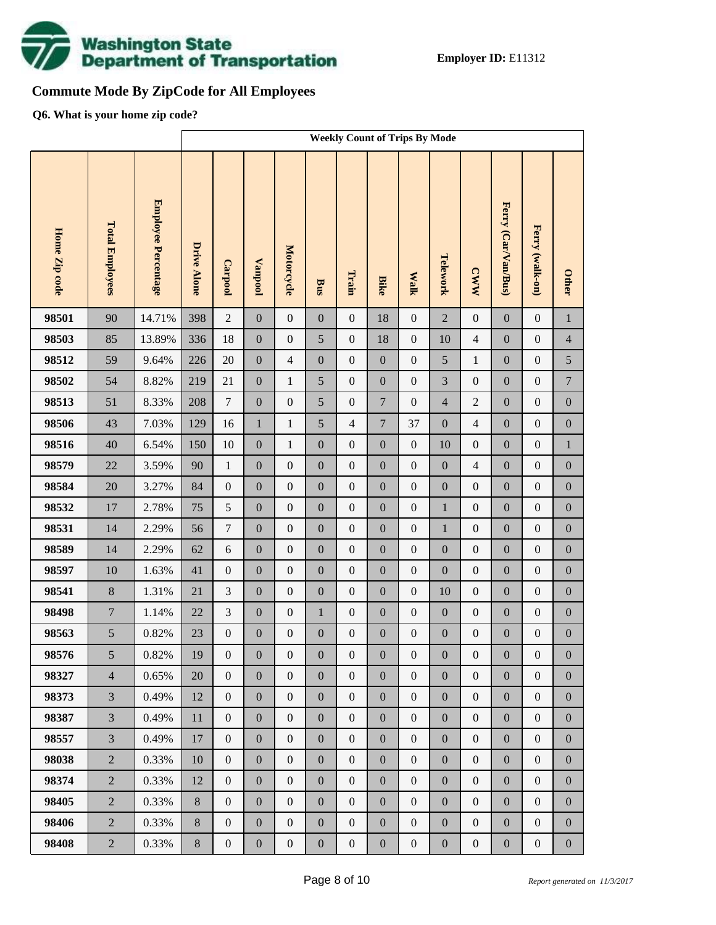

# **Commute Mode By ZipCode for All Employees**

**Q6. What is your home zip code?**

|               |                        |                     |                    | <b>Weekly Count of Trips By Mode</b> |                  |                  |                  |                  |                  |                  |                  |                  |                     |                  |                  |
|---------------|------------------------|---------------------|--------------------|--------------------------------------|------------------|------------------|------------------|------------------|------------------|------------------|------------------|------------------|---------------------|------------------|------------------|
| Home Zip code | <b>Total Employees</b> | Employee Percentage | <b>Drive Alone</b> | <b>Carpool</b>                       | <b>Vanpool</b>   | Motorcycle       | Bus              | Train            | <b>Bike</b>      | <b>Malk</b>      | Telework         | <b>CWW</b>       | Ferry (Car/Van/Bus) | Ferry (walk-on)  | <b>Other</b>     |
| 98501         | 90                     | 14.71%              | 398                | $\overline{2}$                       | $\boldsymbol{0}$ | $\boldsymbol{0}$ | $\boldsymbol{0}$ | $\mathbf{0}$     | 18               | $\boldsymbol{0}$ | $\overline{2}$   | $\boldsymbol{0}$ | $\boldsymbol{0}$    | $\boldsymbol{0}$ | $\mathbf{1}$     |
| 98503         | 85                     | 13.89%              | 336                | 18                                   | $\boldsymbol{0}$ | $\boldsymbol{0}$ | 5                | $\boldsymbol{0}$ | 18               | $\boldsymbol{0}$ | 10               | $\overline{4}$   | $\boldsymbol{0}$    | $\boldsymbol{0}$ | $\overline{4}$   |
| 98512         | 59                     | 9.64%               | 226                | $20\,$                               | $\boldsymbol{0}$ | $\overline{4}$   | $\boldsymbol{0}$ | $\boldsymbol{0}$ | $\boldsymbol{0}$ | $\boldsymbol{0}$ | 5                | $\mathbf{1}$     | $\boldsymbol{0}$    | $\boldsymbol{0}$ | 5                |
| 98502         | 54                     | 8.82%               | 219                | 21                                   | $\boldsymbol{0}$ | $\mathbf{1}$     | 5                | $\boldsymbol{0}$ | $\overline{0}$   | $\boldsymbol{0}$ | $\overline{3}$   | $\boldsymbol{0}$ | $\boldsymbol{0}$    | $\boldsymbol{0}$ | $\boldsymbol{7}$ |
| 98513         | 51                     | 8.33%               | 208                | $\boldsymbol{7}$                     | $\boldsymbol{0}$ | $\boldsymbol{0}$ | 5                | $\boldsymbol{0}$ | $\boldsymbol{7}$ | $\boldsymbol{0}$ | $\overline{4}$   | $\sqrt{2}$       | $\boldsymbol{0}$    | $\boldsymbol{0}$ | $\boldsymbol{0}$ |
| 98506         | 43                     | 7.03%               | 129                | 16                                   | $\mathbf{1}$     | $\mathbf{1}$     | 5                | $\overline{4}$   | $\boldsymbol{7}$ | 37               | $\boldsymbol{0}$ | $\overline{4}$   | $\boldsymbol{0}$    | $\boldsymbol{0}$ | $\boldsymbol{0}$ |
| 98516         | 40                     | 6.54%               | 150                | 10                                   | $\boldsymbol{0}$ | $\mathbf{1}$     | $\boldsymbol{0}$ | $\boldsymbol{0}$ | $\boldsymbol{0}$ | $\boldsymbol{0}$ | 10               | $\boldsymbol{0}$ | $\boldsymbol{0}$    | $\boldsymbol{0}$ | $\mathbf{1}$     |
| 98579         | 22                     | 3.59%               | 90                 | $\mathbf{1}$                         | $\boldsymbol{0}$ | $\boldsymbol{0}$ | $\mathbf{0}$     | $\boldsymbol{0}$ | $\overline{0}$   | $\boldsymbol{0}$ | $\boldsymbol{0}$ | $\overline{4}$   | $\boldsymbol{0}$    | $\boldsymbol{0}$ | $\boldsymbol{0}$ |
| 98584         | 20                     | 3.27%               | 84                 | $\boldsymbol{0}$                     | $\boldsymbol{0}$ | $\boldsymbol{0}$ | $\mathbf{0}$     | $\boldsymbol{0}$ | $\boldsymbol{0}$ | $\boldsymbol{0}$ | $\boldsymbol{0}$ | $\boldsymbol{0}$ | $\boldsymbol{0}$    | $\boldsymbol{0}$ | $\boldsymbol{0}$ |
| 98532         | 17                     | 2.78%               | 75                 | $\sqrt{5}$                           | $\boldsymbol{0}$ | $\boldsymbol{0}$ | $\mathbf{0}$     | $\boldsymbol{0}$ | $\overline{0}$   | $\boldsymbol{0}$ | $1\,$            | $\boldsymbol{0}$ | $\boldsymbol{0}$    | $\boldsymbol{0}$ | $\boldsymbol{0}$ |
| 98531         | 14                     | 2.29%               | 56                 | $\boldsymbol{7}$                     | $\boldsymbol{0}$ | $\boldsymbol{0}$ | $\boldsymbol{0}$ | $\boldsymbol{0}$ | $\boldsymbol{0}$ | $\boldsymbol{0}$ | $1\,$            | $\boldsymbol{0}$ | $\boldsymbol{0}$    | $\boldsymbol{0}$ | $\boldsymbol{0}$ |
| 98589         | 14                     | 2.29%               | 62                 | $\sqrt{6}$                           | $\boldsymbol{0}$ | $\boldsymbol{0}$ | $\mathbf{0}$     | $\boldsymbol{0}$ | $\overline{0}$   | $\boldsymbol{0}$ | $\boldsymbol{0}$ | $\boldsymbol{0}$ | $\boldsymbol{0}$    | $\boldsymbol{0}$ | $\boldsymbol{0}$ |
| 98597         | 10                     | 1.63%               | 41                 | $\boldsymbol{0}$                     | $\boldsymbol{0}$ | $\boldsymbol{0}$ | $\mathbf{0}$     | $\boldsymbol{0}$ | $\boldsymbol{0}$ | $\boldsymbol{0}$ | $\boldsymbol{0}$ | $\boldsymbol{0}$ | $\boldsymbol{0}$    | $\boldsymbol{0}$ | $\boldsymbol{0}$ |
| 98541         | $8\,$                  | 1.31%               | 21                 | 3                                    | $\boldsymbol{0}$ | $\boldsymbol{0}$ | $\mathbf{0}$     | $\boldsymbol{0}$ | $\overline{0}$   | $\boldsymbol{0}$ | 10               | $\boldsymbol{0}$ | $\boldsymbol{0}$    | $\boldsymbol{0}$ | $\boldsymbol{0}$ |
| 98498         | $\tau$                 | 1.14%               | 22                 | 3                                    | $\boldsymbol{0}$ | $\boldsymbol{0}$ | $\mathbf{1}$     | $\boldsymbol{0}$ | $\boldsymbol{0}$ | $\boldsymbol{0}$ | $\boldsymbol{0}$ | $\boldsymbol{0}$ | $\boldsymbol{0}$    | $\boldsymbol{0}$ | $\boldsymbol{0}$ |
| 98563         | 5                      | 0.82%               | 23                 | $\boldsymbol{0}$                     | $\boldsymbol{0}$ | $\boldsymbol{0}$ | $\boldsymbol{0}$ | $\boldsymbol{0}$ | $\mathbf{0}$     | $\boldsymbol{0}$ | $\boldsymbol{0}$ | $\boldsymbol{0}$ | $\boldsymbol{0}$    | $\boldsymbol{0}$ | $\boldsymbol{0}$ |
| 98576         | 5                      | $0.82\%$            | 19                 | $\mathbf{0}$                         | $\boldsymbol{0}$ | $\boldsymbol{0}$ | $\boldsymbol{0}$ | $\boldsymbol{0}$ | $\boldsymbol{0}$ | $\boldsymbol{0}$ | $\boldsymbol{0}$ | $\boldsymbol{0}$ | $\boldsymbol{0}$    | $\boldsymbol{0}$ | $\boldsymbol{0}$ |
| 98327         | $\overline{4}$         | 0.65%               | 20                 | $\mathbf{0}$                         | $\boldsymbol{0}$ | $\boldsymbol{0}$ | $\boldsymbol{0}$ | $\mathbf{0}$     | $\overline{0}$   | $\mathbf{0}$     | $\boldsymbol{0}$ | $\mathbf{0}$     | $\boldsymbol{0}$    | $\boldsymbol{0}$ | $\overline{0}$   |
| 98373         | $\overline{3}$         | 0.49%               | 12                 | $\mathbf{0}$                         | $\boldsymbol{0}$ | $\boldsymbol{0}$ | $\boldsymbol{0}$ | $\overline{0}$   | $\overline{0}$   | $\mathbf{0}$     | $\boldsymbol{0}$ | $\mathbf{0}$     | $\boldsymbol{0}$    | $\boldsymbol{0}$ | $\boldsymbol{0}$ |
| 98387         | $\overline{3}$         | 0.49%               | 11                 | $\mathbf{0}$                         | $\boldsymbol{0}$ | $\boldsymbol{0}$ | $\boldsymbol{0}$ | $\boldsymbol{0}$ | $\boldsymbol{0}$ | $\mathbf{0}$     | $\boldsymbol{0}$ | $\mathbf{0}$     | $\boldsymbol{0}$    | $\boldsymbol{0}$ | $\boldsymbol{0}$ |
| 98557         | $\overline{3}$         | 0.49%               | 17                 | $\mathbf{0}$                         | $\boldsymbol{0}$ | $\boldsymbol{0}$ | $\boldsymbol{0}$ | $\overline{0}$   | $\overline{0}$   | $\boldsymbol{0}$ | $\boldsymbol{0}$ | $\mathbf{0}$     | $\boldsymbol{0}$    | $\boldsymbol{0}$ | $\boldsymbol{0}$ |
| 98038         | $\overline{2}$         | 0.33%               | 10                 | $\mathbf{0}$                         | $\boldsymbol{0}$ | $\boldsymbol{0}$ | $\boldsymbol{0}$ | $\boldsymbol{0}$ | $\boldsymbol{0}$ | $\mathbf{0}$     | $\boldsymbol{0}$ | $\mathbf{0}$     | $\boldsymbol{0}$    | $\boldsymbol{0}$ | $\boldsymbol{0}$ |
| 98374         | $\overline{2}$         | 0.33%               | 12                 | $\mathbf{0}$                         | $\boldsymbol{0}$ | $\mathbf{0}$     | $\boldsymbol{0}$ | $\mathbf{0}$     | $\overline{0}$   | $\mathbf{0}$     | $\boldsymbol{0}$ | $\mathbf{0}$     | $\boldsymbol{0}$    | $\boldsymbol{0}$ | $\boldsymbol{0}$ |
| 98405         | $\overline{2}$         | 0.33%               | 8                  | $\mathbf{0}$                         | $\boldsymbol{0}$ | $\boldsymbol{0}$ | $\boldsymbol{0}$ | $\boldsymbol{0}$ | $\boldsymbol{0}$ | $\mathbf{0}$     | $\boldsymbol{0}$ | $\mathbf{0}$     | $\boldsymbol{0}$    | $\boldsymbol{0}$ | $\boldsymbol{0}$ |
| 98406         | $\overline{2}$         | 0.33%               | $8\,$              | $\boldsymbol{0}$                     | $\boldsymbol{0}$ | $\boldsymbol{0}$ | $\boldsymbol{0}$ | $\mathbf{0}$     | $\overline{0}$   | $\boldsymbol{0}$ | $\boldsymbol{0}$ | $\mathbf{0}$     | $\boldsymbol{0}$    | $\boldsymbol{0}$ | $\boldsymbol{0}$ |
| 98408         | $\overline{2}$         | 0.33%               | $8\,$              | $\boldsymbol{0}$                     | $\boldsymbol{0}$ | $\boldsymbol{0}$ | $\boldsymbol{0}$ | $\boldsymbol{0}$ | $\boldsymbol{0}$ | $\boldsymbol{0}$ | $\boldsymbol{0}$ | $\boldsymbol{0}$ | $\boldsymbol{0}$    | $\boldsymbol{0}$ | $\boldsymbol{0}$ |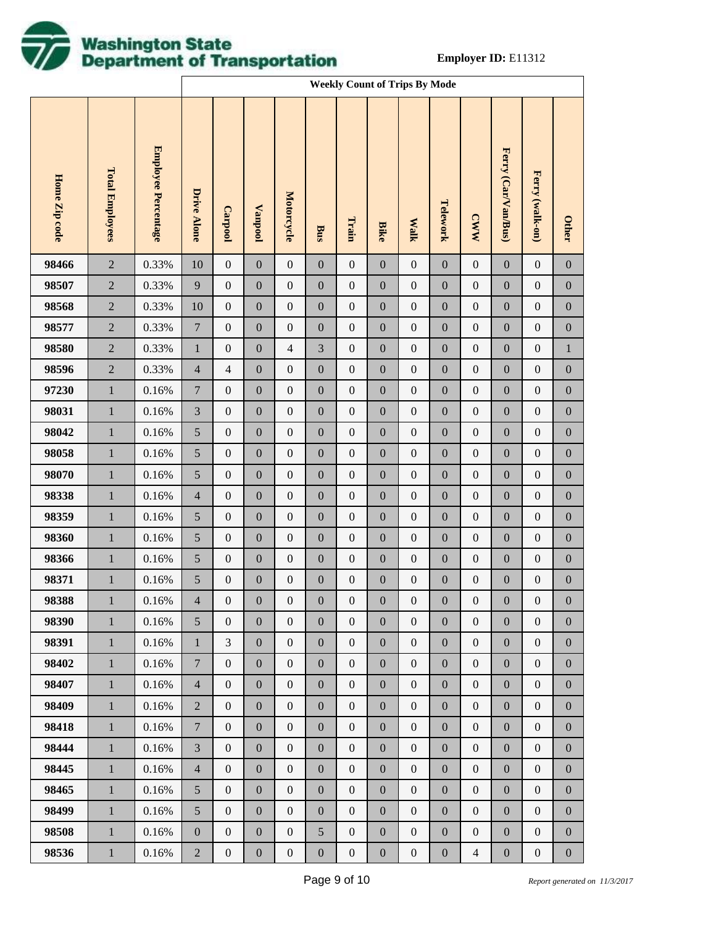

|               |                        |                     |                             | <b>Weekly Count of Trips By Mode</b> |                  |                   |                  |                  |                  |                  |                  |                  |                     |                  |                  |
|---------------|------------------------|---------------------|-----------------------------|--------------------------------------|------------------|-------------------|------------------|------------------|------------------|------------------|------------------|------------------|---------------------|------------------|------------------|
| Home Zip code | <b>Total Employees</b> | Employee Percentage | <b>Drive Alone</b>          | Carpool                              | Vanpool          | <b>Motorcycle</b> | Bus              | Train            | <b>Bike</b>      | <b>Walk</b>      | Telework         | <b>CWW</b>       | Ferry (Car/Van/Bus) | Ferry (walk-on)  | <b>Other</b>     |
| 98466         | $\sqrt{2}$             | 0.33%               | 10                          | $\boldsymbol{0}$                     | $\boldsymbol{0}$ | $\boldsymbol{0}$  | $\boldsymbol{0}$ | $\boldsymbol{0}$ | $\boldsymbol{0}$ | $\boldsymbol{0}$ | $\boldsymbol{0}$ | $\boldsymbol{0}$ | $\boldsymbol{0}$    | $\boldsymbol{0}$ | $\boldsymbol{0}$ |
| 98507         | $\sqrt{2}$             | 0.33%               | $\overline{9}$              | $\boldsymbol{0}$                     | $\boldsymbol{0}$ | $\boldsymbol{0}$  | $\boldsymbol{0}$ | $\boldsymbol{0}$ | $\boldsymbol{0}$ | $\boldsymbol{0}$ | $\boldsymbol{0}$ | $\boldsymbol{0}$ | $\boldsymbol{0}$    | $\boldsymbol{0}$ | $\boldsymbol{0}$ |
| 98568         | $\sqrt{2}$             | 0.33%               | 10                          | $\boldsymbol{0}$                     | $\boldsymbol{0}$ | $\boldsymbol{0}$  | $\boldsymbol{0}$ | $\boldsymbol{0}$ | $\boldsymbol{0}$ | $\boldsymbol{0}$ | $\boldsymbol{0}$ | $\boldsymbol{0}$ | $\boldsymbol{0}$    | $\boldsymbol{0}$ | $\boldsymbol{0}$ |
| 98577         | $\sqrt{2}$             | 0.33%               | $\overline{7}$              | $\boldsymbol{0}$                     | $\boldsymbol{0}$ | $\boldsymbol{0}$  | $\boldsymbol{0}$ | $\boldsymbol{0}$ | $\boldsymbol{0}$ | $\boldsymbol{0}$ | $\boldsymbol{0}$ | $\boldsymbol{0}$ | $\boldsymbol{0}$    | $\boldsymbol{0}$ | $\boldsymbol{0}$ |
| 98580         | $\sqrt{2}$             | 0.33%               | $\mathbf{1}$                | $\boldsymbol{0}$                     | $\boldsymbol{0}$ | $\overline{4}$    | $\mathfrak{Z}$   | $\boldsymbol{0}$ | $\boldsymbol{0}$ | $\boldsymbol{0}$ | $\boldsymbol{0}$ | $\boldsymbol{0}$ | $\boldsymbol{0}$    | $\boldsymbol{0}$ | $\mathbf{1}$     |
| 98596         | $\sqrt{2}$             | 0.33%               | $\overline{4}$              | $\overline{4}$                       | $\boldsymbol{0}$ | $\boldsymbol{0}$  | $\boldsymbol{0}$ | $\boldsymbol{0}$ | $\boldsymbol{0}$ | $\boldsymbol{0}$ | $\boldsymbol{0}$ | $\boldsymbol{0}$ | $\boldsymbol{0}$    | $\boldsymbol{0}$ | $\boldsymbol{0}$ |
| 97230         | $\mathbf{1}$           | 0.16%               | $\overline{7}$              | $\boldsymbol{0}$                     | $\boldsymbol{0}$ | $\boldsymbol{0}$  | $\boldsymbol{0}$ | $\boldsymbol{0}$ | $\boldsymbol{0}$ | $\boldsymbol{0}$ | $\boldsymbol{0}$ | $\boldsymbol{0}$ | $\boldsymbol{0}$    | $\boldsymbol{0}$ | $\boldsymbol{0}$ |
| 98031         | $\mathbf 1$            | 0.16%               | $\ensuremath{\mathfrak{Z}}$ | $\boldsymbol{0}$                     | $\boldsymbol{0}$ | $\boldsymbol{0}$  | $\boldsymbol{0}$ | $\boldsymbol{0}$ | $\boldsymbol{0}$ | $\boldsymbol{0}$ | $\boldsymbol{0}$ | $\boldsymbol{0}$ | $\boldsymbol{0}$    | $\boldsymbol{0}$ | $\boldsymbol{0}$ |
| 98042         | $\,1\,$                | 0.16%               | $\sqrt{5}$                  | $\boldsymbol{0}$                     | $\boldsymbol{0}$ | $\boldsymbol{0}$  | $\boldsymbol{0}$ | $\boldsymbol{0}$ | $\boldsymbol{0}$ | $\boldsymbol{0}$ | $\boldsymbol{0}$ | $\boldsymbol{0}$ | $\boldsymbol{0}$    | $\boldsymbol{0}$ | $\boldsymbol{0}$ |
| 98058         | $\mathbf 1$            | 0.16%               | $\sqrt{5}$                  | $\boldsymbol{0}$                     | $\boldsymbol{0}$ | $\boldsymbol{0}$  | $\boldsymbol{0}$ | $\boldsymbol{0}$ | $\boldsymbol{0}$ | $\boldsymbol{0}$ | $\boldsymbol{0}$ | $\boldsymbol{0}$ | $\boldsymbol{0}$    | $\boldsymbol{0}$ | $\boldsymbol{0}$ |
| 98070         | $\,1\,$                | 0.16%               | 5                           | $\boldsymbol{0}$                     | $\boldsymbol{0}$ | $\boldsymbol{0}$  | $\boldsymbol{0}$ | $\boldsymbol{0}$ | $\boldsymbol{0}$ | $\boldsymbol{0}$ | $\boldsymbol{0}$ | $\boldsymbol{0}$ | $\boldsymbol{0}$    | $\boldsymbol{0}$ | $\boldsymbol{0}$ |
| 98338         | $\mathbf 1$            | 0.16%               | $\overline{4}$              | $\boldsymbol{0}$                     | $\boldsymbol{0}$ | $\boldsymbol{0}$  | $\boldsymbol{0}$ | $\boldsymbol{0}$ | $\boldsymbol{0}$ | $\boldsymbol{0}$ | $\boldsymbol{0}$ | $\boldsymbol{0}$ | $\boldsymbol{0}$    | $\boldsymbol{0}$ | $\boldsymbol{0}$ |
| 98359         | $\,1\,$                | 0.16%               | $\sqrt{5}$                  | $\boldsymbol{0}$                     | $\boldsymbol{0}$ | $\boldsymbol{0}$  | $\boldsymbol{0}$ | $\boldsymbol{0}$ | $\boldsymbol{0}$ | $\boldsymbol{0}$ | $\boldsymbol{0}$ | $\boldsymbol{0}$ | $\boldsymbol{0}$    | $\boldsymbol{0}$ | $\boldsymbol{0}$ |
| 98360         | $\mathbf{1}$           | 0.16%               | $\mathfrak{S}$              | $\boldsymbol{0}$                     | $\boldsymbol{0}$ | $\boldsymbol{0}$  | $\boldsymbol{0}$ | $\boldsymbol{0}$ | $\boldsymbol{0}$ | $\boldsymbol{0}$ | $\boldsymbol{0}$ | $\boldsymbol{0}$ | $\boldsymbol{0}$    | $\boldsymbol{0}$ | $\boldsymbol{0}$ |
| 98366         | $\,1\,$                | 0.16%               | $\sqrt{5}$                  | $\boldsymbol{0}$                     | $\boldsymbol{0}$ | $\boldsymbol{0}$  | $\boldsymbol{0}$ | $\boldsymbol{0}$ | $\boldsymbol{0}$ | $\boldsymbol{0}$ | $\boldsymbol{0}$ | $\boldsymbol{0}$ | $\boldsymbol{0}$    | $\boldsymbol{0}$ | $\boldsymbol{0}$ |
| 98371         | $\mathbf{1}$           | 0.16%               | $\mathfrak{S}$              | $\boldsymbol{0}$                     | $\boldsymbol{0}$ | $\boldsymbol{0}$  | $\boldsymbol{0}$ | $\boldsymbol{0}$ | $\boldsymbol{0}$ | $\boldsymbol{0}$ | $\boldsymbol{0}$ | $\boldsymbol{0}$ | $\boldsymbol{0}$    | $\boldsymbol{0}$ | $\boldsymbol{0}$ |
| 98388         | $\mathbf{1}$           | $0.16\%$            | $\overline{4}$              | $\overline{0}$                       | $\boldsymbol{0}$ | $\boldsymbol{0}$  | $\boldsymbol{0}$ | $\boldsymbol{0}$ | $\mathbf{0}$     | $\boldsymbol{0}$ | $\mathbf{0}$     | $\boldsymbol{0}$ | $\boldsymbol{0}$    | $\boldsymbol{0}$ | $\mathbf{0}$     |
| 98390         | $\mathbf{1}$           | 0.16%               | 5                           | $\mathbf{0}$                         | $\mathbf{0}$     | $\boldsymbol{0}$  | $\mathbf{0}$     | $\boldsymbol{0}$ | $\mathbf{0}$     | $\mathbf{0}$     | $\boldsymbol{0}$ | $\boldsymbol{0}$ | $\mathbf{0}$        | $\mathbf{0}$     | $\mathbf{0}$     |
| 98391         | $\mathbf{1}$           | 0.16%               | $\mathbf{1}$                | 3                                    | $\mathbf{0}$     | $\boldsymbol{0}$  | $\boldsymbol{0}$ | $\boldsymbol{0}$ | $\boldsymbol{0}$ | $\boldsymbol{0}$ | $\boldsymbol{0}$ | $\boldsymbol{0}$ | $\boldsymbol{0}$    | $\boldsymbol{0}$ | $\boldsymbol{0}$ |
| 98402         | $\mathbf{1}$           | 0.16%               | $\overline{7}$              | $\overline{0}$                       | $\mathbf{0}$     | $\boldsymbol{0}$  | $\boldsymbol{0}$ | $\boldsymbol{0}$ | $\mathbf{0}$     | $\mathbf{0}$     | $\boldsymbol{0}$ | $\boldsymbol{0}$ | $\mathbf{0}$        | $\mathbf{0}$     | $\boldsymbol{0}$ |
| 98407         | $\mathbf{1}$           | 0.16%               | $\overline{4}$              | $\boldsymbol{0}$                     | $\mathbf{0}$     | $\boldsymbol{0}$  | $\boldsymbol{0}$ | $\boldsymbol{0}$ | $\boldsymbol{0}$ | $\boldsymbol{0}$ | $\boldsymbol{0}$ | $\boldsymbol{0}$ | $\boldsymbol{0}$    | $\boldsymbol{0}$ | $\boldsymbol{0}$ |
| 98409         | $\mathbf{1}$           | 0.16%               | $\mathbf{2}$                | $\overline{0}$                       | $\mathbf{0}$     | $\boldsymbol{0}$  | $\boldsymbol{0}$ | $\boldsymbol{0}$ | $\boldsymbol{0}$ | $\mathbf{0}$     | $\boldsymbol{0}$ | $\boldsymbol{0}$ | $\mathbf{0}$        | $\boldsymbol{0}$ | $\boldsymbol{0}$ |
| 98418         | $\mathbf{1}$           | 0.16%               | $\overline{7}$              | $\boldsymbol{0}$                     | $\mathbf{0}$     | $\boldsymbol{0}$  | $\boldsymbol{0}$ | $\boldsymbol{0}$ | $\boldsymbol{0}$ | $\boldsymbol{0}$ | $\boldsymbol{0}$ | $\boldsymbol{0}$ | $\boldsymbol{0}$    | $\boldsymbol{0}$ | $\boldsymbol{0}$ |
| 98444         | $\mathbf{1}$           | 0.16%               | $\mathfrak{Z}$              | $\overline{0}$                       | $\mathbf{0}$     | $\boldsymbol{0}$  | $\boldsymbol{0}$ | $\boldsymbol{0}$ | $\boldsymbol{0}$ | $\mathbf{0}$     | $\boldsymbol{0}$ | $\boldsymbol{0}$ | $\boldsymbol{0}$    | $\boldsymbol{0}$ | $\boldsymbol{0}$ |
| 98445         | $\mathbf{1}$           | 0.16%               | $\overline{4}$              | $\boldsymbol{0}$                     | $\mathbf{0}$     | $\boldsymbol{0}$  | $\boldsymbol{0}$ | $\boldsymbol{0}$ | $\boldsymbol{0}$ | $\boldsymbol{0}$ | $\boldsymbol{0}$ | $\boldsymbol{0}$ | $\boldsymbol{0}$    | $\boldsymbol{0}$ | $\boldsymbol{0}$ |
| 98465         | $\mathbf{1}$           | 0.16%               | 5                           | $\overline{0}$                       | $\mathbf{0}$     | $\boldsymbol{0}$  | $\boldsymbol{0}$ | $\boldsymbol{0}$ | $\boldsymbol{0}$ | $\mathbf{0}$     | $\boldsymbol{0}$ | $\boldsymbol{0}$ | $\mathbf{0}$        | $\mathbf{0}$     | $\boldsymbol{0}$ |
| 98499         | $\mathbf{1}$           | 0.16%               | $\mathfrak{S}$              | $\boldsymbol{0}$                     | $\mathbf{0}$     | $\boldsymbol{0}$  | $\boldsymbol{0}$ | $\boldsymbol{0}$ | $\boldsymbol{0}$ | $\boldsymbol{0}$ | $\boldsymbol{0}$ | $\boldsymbol{0}$ | $\boldsymbol{0}$    | $\boldsymbol{0}$ | $\boldsymbol{0}$ |
| 98508         | $\mathbf{1}$           | 0.16%               | $\boldsymbol{0}$            | $\boldsymbol{0}$                     | $\mathbf{0}$     | $\boldsymbol{0}$  | $\mathfrak s$    | $\boldsymbol{0}$ | $\boldsymbol{0}$ | $\boldsymbol{0}$ | $\boldsymbol{0}$ | $\boldsymbol{0}$ | $\boldsymbol{0}$    | $\boldsymbol{0}$ | $\boldsymbol{0}$ |
| 98536         | $\mathbf{1}$           | 0.16%               | $\overline{2}$              | $\boldsymbol{0}$                     | $\boldsymbol{0}$ | $\boldsymbol{0}$  | $\boldsymbol{0}$ | $\boldsymbol{0}$ | $\boldsymbol{0}$ | $\boldsymbol{0}$ | $\boldsymbol{0}$ | $\overline{4}$   | $\boldsymbol{0}$    | $\boldsymbol{0}$ | $\boldsymbol{0}$ |